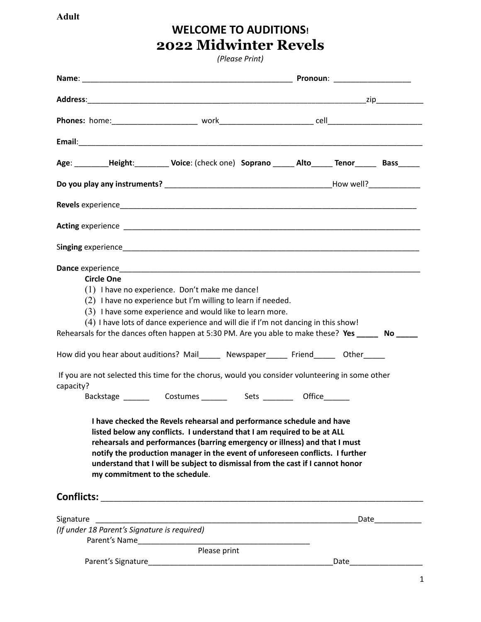**Adult**

## **WELCOME TO AUDITIONS! 2022 Midwinter Revels**

*(Please Print)*

| <b>Circle One</b><br>$(1)$ I have no experience. Don't make me dance!<br>$(2)$ I have no experience but I'm willing to learn if needed.<br>$(3)$ I have some experience and would like to learn more.<br>(4) I have lots of dance experience and will die if I'm not dancing in this show!<br>Rehearsals for the dances often happen at 5:30 PM. Are you able to make these? Yes _______ No _____<br>How did you hear about auditions? Mail______ Newspaper______ Friend______ Other_____<br>If you are not selected this time for the chorus, would you consider volunteering in some other<br>capacity?<br>I have checked the Revels rehearsal and performance schedule and have<br>listed below any conflicts. I understand that I am required to be at ALL<br>rehearsals and performances (barring emergency or illness) and that I must<br>notify the production manager in the event of unforeseen conflicts. I further<br>understand that I will be subject to dismissal from the cast if I cannot honor<br>my commitment to the schedule. |  |  |
|---------------------------------------------------------------------------------------------------------------------------------------------------------------------------------------------------------------------------------------------------------------------------------------------------------------------------------------------------------------------------------------------------------------------------------------------------------------------------------------------------------------------------------------------------------------------------------------------------------------------------------------------------------------------------------------------------------------------------------------------------------------------------------------------------------------------------------------------------------------------------------------------------------------------------------------------------------------------------------------------------------------------------------------------------|--|--|
|                                                                                                                                                                                                                                                                                                                                                                                                                                                                                                                                                                                                                                                                                                                                                                                                                                                                                                                                                                                                                                                   |  |  |
| (If under 18 Parent's Signature is required)                                                                                                                                                                                                                                                                                                                                                                                                                                                                                                                                                                                                                                                                                                                                                                                                                                                                                                                                                                                                      |  |  |
| Please print                                                                                                                                                                                                                                                                                                                                                                                                                                                                                                                                                                                                                                                                                                                                                                                                                                                                                                                                                                                                                                      |  |  |